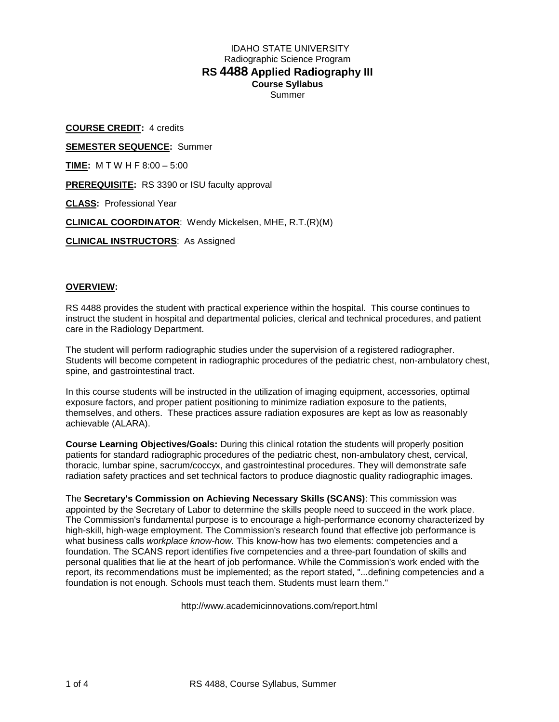# IDAHO STATE UNIVERSITY Radiographic Science Program **RS 4488 Applied Radiography III Course Syllabus** Summer

**COURSE CREDIT:** 4 credits **SEMESTER SEQUENCE:** Summer **TIME:** M T W H F 8:00 – 5:00 **PREREQUISITE:** RS 3390 or ISU faculty approval **CLASS:** Professional Year **CLINICAL COORDINATOR**: Wendy Mickelsen, MHE, R.T.(R)(M) **CLINICAL INSTRUCTORS**: As Assigned

# **OVERVIEW:**

RS 4488 provides the student with practical experience within the hospital. This course continues to instruct the student in hospital and departmental policies, clerical and technical procedures, and patient care in the Radiology Department.

The student will perform radiographic studies under the supervision of a registered radiographer. Students will become competent in radiographic procedures of the pediatric chest, non-ambulatory chest, spine, and gastrointestinal tract.

In this course students will be instructed in the utilization of imaging equipment, accessories, optimal exposure factors, and proper patient positioning to minimize radiation exposure to the patients, themselves, and others. These practices assure radiation exposures are kept as low as reasonably achievable (ALARA).

**Course Learning Objectives/Goals:** During this clinical rotation the students will properly position patients for standard radiographic procedures of the pediatric chest, non-ambulatory chest, cervical, thoracic, lumbar spine, sacrum/coccyx, and gastrointestinal procedures. They will demonstrate safe radiation safety practices and set technical factors to produce diagnostic quality radiographic images.

The **Secretary's Commission on Achieving Necessary Skills (SCANS)**: This commission was appointed by the Secretary of Labor to determine the skills people need to succeed in the work place. The Commission's fundamental purpose is to encourage a high-performance economy characterized by high-skill, high-wage employment. The Commission's research found that effective job performance is what business calls *workplace know-how*. This know-how has two elements: competencies and a foundation. The SCANS report identifies five competencies and a three-part foundation of skills and personal qualities that lie at the heart of job performance. While the Commission's work ended with the report, its recommendations must be implemented; as the report stated, "...defining competencies and a foundation is not enough. Schools must teach them. Students must learn them."

http://www.academicinnovations.com/report.html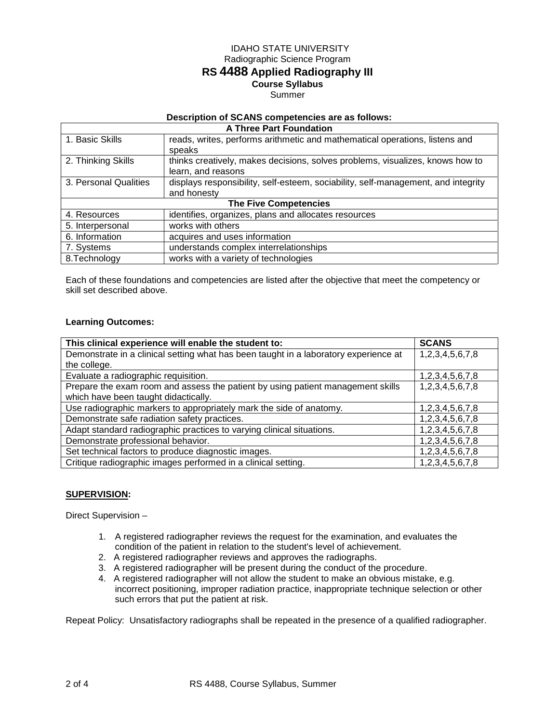## IDAHO STATE UNIVERSITY Radiographic Science Program

# **RS 4488 Applied Radiography III**

# **Course Syllabus**

#### Summer

#### **Description of SCANS competencies are as follows:**

| <b>A Three Part Foundation</b> |                                                                                   |  |  |
|--------------------------------|-----------------------------------------------------------------------------------|--|--|
| 1. Basic Skills                | reads, writes, performs arithmetic and mathematical operations, listens and       |  |  |
|                                | speaks                                                                            |  |  |
| 2. Thinking Skills             | thinks creatively, makes decisions, solves problems, visualizes, knows how to     |  |  |
|                                | learn, and reasons                                                                |  |  |
| 3. Personal Qualities          | displays responsibility, self-esteem, sociability, self-management, and integrity |  |  |
|                                | and honesty                                                                       |  |  |
| <b>The Five Competencies</b>   |                                                                                   |  |  |
| 4. Resources                   | identifies, organizes, plans and allocates resources                              |  |  |
| 5. Interpersonal               | works with others                                                                 |  |  |
| 6. Information                 | acquires and uses information                                                     |  |  |
| 7. Systems                     | understands complex interrelationships                                            |  |  |
| 8. Technology                  | works with a variety of technologies                                              |  |  |

Each of these foundations and competencies are listed after the objective that meet the competency or skill set described above.

# **Learning Outcomes:**

| This clinical experience will enable the student to:                                 | <b>SCANS</b>    |
|--------------------------------------------------------------------------------------|-----------------|
| Demonstrate in a clinical setting what has been taught in a laboratory experience at | 1,2,3,4,5,6,7,8 |
| the college.                                                                         |                 |
| Evaluate a radiographic requisition.                                                 | 1,2,3,4,5,6,7,8 |
| Prepare the exam room and assess the patient by using patient management skills      | 1,2,3,4,5,6,7,8 |
| which have been taught didactically.                                                 |                 |
| Use radiographic markers to appropriately mark the side of anatomy.                  | 1,2,3,4,5,6,7,8 |
| Demonstrate safe radiation safety practices.                                         | 1,2,3,4,5,6,7,8 |
| Adapt standard radiographic practices to varying clinical situations.                | 1,2,3,4,5,6,7,8 |
| Demonstrate professional behavior.                                                   | 1,2,3,4,5,6,7,8 |
| Set technical factors to produce diagnostic images.                                  | 1,2,3,4,5,6,7,8 |
| Critique radiographic images performed in a clinical setting.                        | 1,2,3,4,5,6,7,8 |

## **SUPERVISION:**

Direct Supervision –

- 1. A registered radiographer reviews the request for the examination, and evaluates the condition of the patient in relation to the student's level of achievement.
- 2. A registered radiographer reviews and approves the radiographs.
- 3. A registered radiographer will be present during the conduct of the procedure.
- 4. A registered radiographer will not allow the student to make an obvious mistake, e.g. incorrect positioning, improper radiation practice, inappropriate technique selection or other such errors that put the patient at risk.

Repeat Policy: Unsatisfactory radiographs shall be repeated in the presence of a qualified radiographer.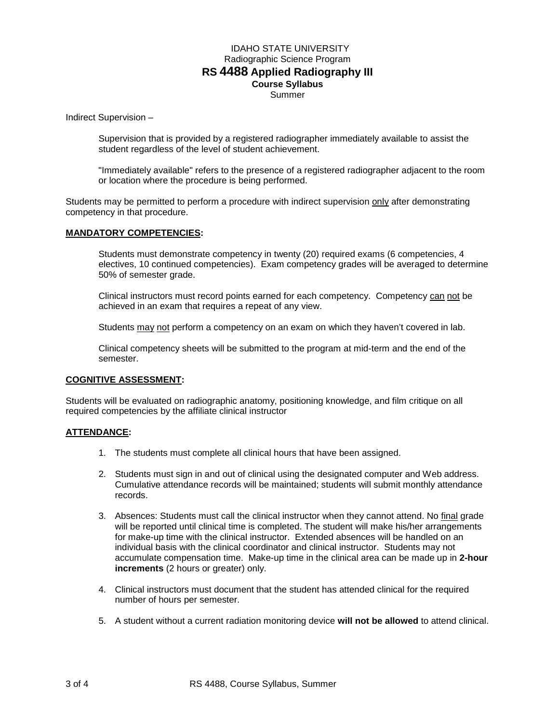# IDAHO STATE UNIVERSITY Radiographic Science Program **RS 4488 Applied Radiography III Course Syllabus** Summer

Indirect Supervision –

Supervision that is provided by a registered radiographer immediately available to assist the student regardless of the level of student achievement.

"Immediately available" refers to the presence of a registered radiographer adjacent to the room or location where the procedure is being performed.

Students may be permitted to perform a procedure with indirect supervision only after demonstrating competency in that procedure.

#### **MANDATORY COMPETENCIES:**

Students must demonstrate competency in twenty (20) required exams (6 competencies, 4 electives, 10 continued competencies). Exam competency grades will be averaged to determine 50% of semester grade.

Clinical instructors must record points earned for each competency. Competency can not be achieved in an exam that requires a repeat of any view.

Students may not perform a competency on an exam on which they haven't covered in lab.

Clinical competency sheets will be submitted to the program at mid-term and the end of the semester.

#### **COGNITIVE ASSESSMENT:**

Students will be evaluated on radiographic anatomy, positioning knowledge, and film critique on all required competencies by the affiliate clinical instructor

#### **ATTENDANCE:**

- 1. The students must complete all clinical hours that have been assigned.
- 2. Students must sign in and out of clinical using the designated computer and Web address. Cumulative attendance records will be maintained; students will submit monthly attendance records.
- 3. Absences: Students must call the clinical instructor when they cannot attend. No final grade will be reported until clinical time is completed. The student will make his/her arrangements for make-up time with the clinical instructor. Extended absences will be handled on an individual basis with the clinical coordinator and clinical instructor. Students may not accumulate compensation time. Make-up time in the clinical area can be made up in **2-hour increments** (2 hours or greater) only.
- 4. Clinical instructors must document that the student has attended clinical for the required number of hours per semester.
- 5. A student without a current radiation monitoring device **will not be allowed** to attend clinical.